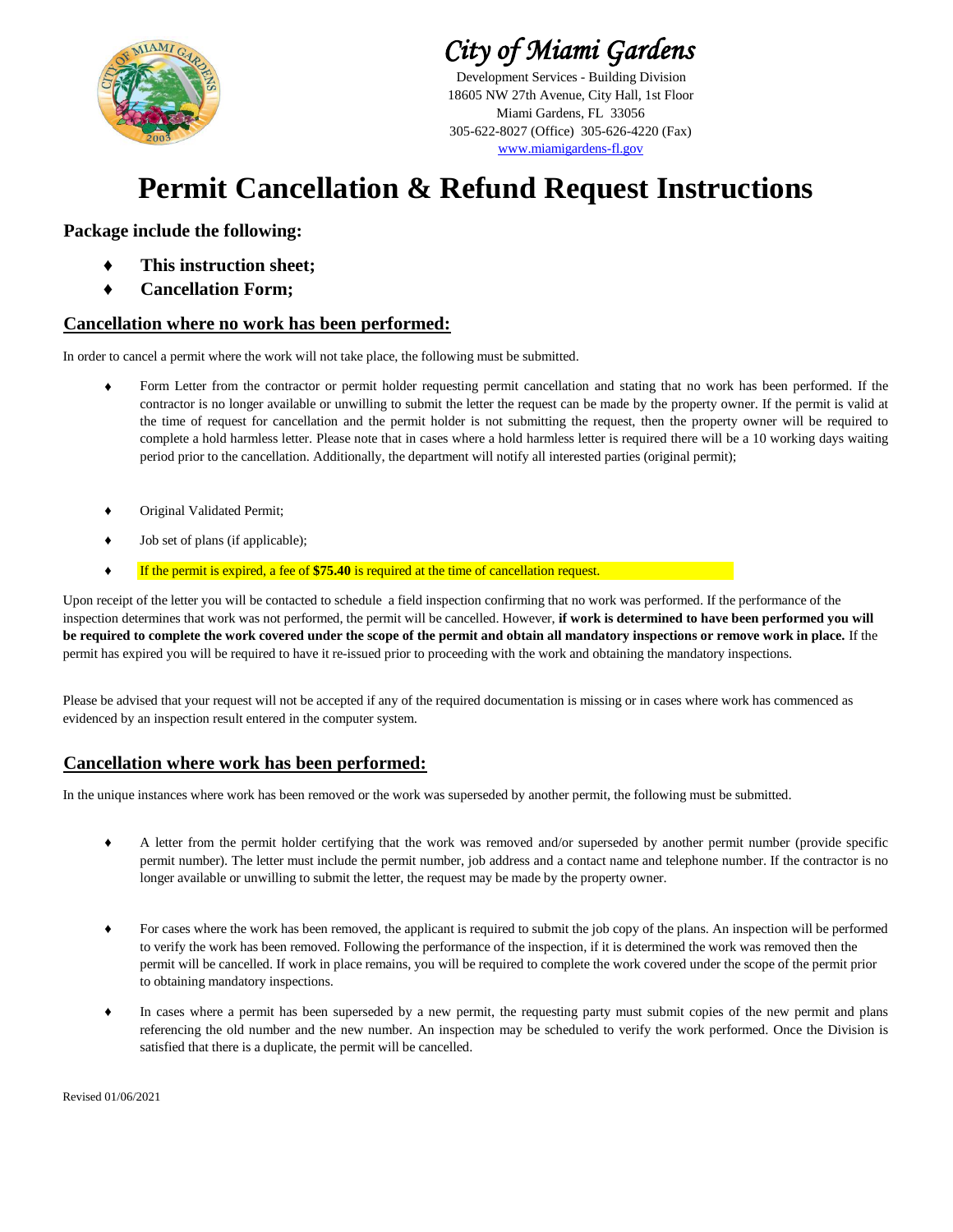

*City of Miami Gardens*

Development Services - Building Division 305-622-8027 (Office) 305-626-4220 (Fax) 18605 NW 27th Avenue, City Hall, 1st Floor www.miamigardens-fl.gov Miami Gardens, FL 33056

## **Permit Cancellation & Refund Request Instructions**

### **Package include the following:**

- **♦ This instruction sheet;**
- **♦ Cancellation Form;**

#### **Cancellation where no work has been performed:**

In order to cancel a permit where the work will not take place, the following must be submitted.

- **♦** Form Letter from the contractor or permit holder requesting permit cancellation and stating that no work has been performed. If the contractor is no longer available or unwilling to submit the letter the request can be made by the property owner. If the permit is valid at the time of request for cancellation and the permit holder is not submitting the request, then the property owner will be required to complete a hold harmless letter. Please note that in cases where a hold harmless letter is required there will be a 10 working days waiting period prior to the cancellation. Additionally, the department will notify all interested parties (original permit);
- **♦** Original Validated Permit;
- **♦** Job set of plans (if applicable);
- **♦** If the permit is expired, a fee of **\$75.40** is required at the time of cancellation request.

Upon receipt of the letter you will be contacted to schedule a field inspection confirming that no work was performed. If the performance of the inspection determines that work was not performed, the permit will be cancelled. However, **if work is determined to have been performed you will be required to complete the work covered under the scope of the permit and obtain all mandatory inspections or remove work in place.** If the permit has expired you will be required to have it re-issued prior to proceeding with the work and obtaining the mandatory inspections.

Please be advised that your request will not be accepted if any of the required documentation is missing or in cases where work has commenced as evidenced by an inspection result entered in the computer system.

#### **Cancellation where work has been performed:**

In the unique instances where work has been removed or the work was superseded by another permit, the following must be submitted.

- **♦** A letter from the permit holder certifying that the work was removed and/or superseded by another permit number (provide specific permit number). The letter must include the permit number, job address and a contact name and telephone number. If the contractor is no longer available or unwilling to submit the letter, the request may be made by the property owner.
- **♦** For cases where the work has been removed, the applicant is required to submit the job copy of the plans. An inspection will be performed to verify the work has been removed. Following the performance of the inspection, if it is determined the work was removed then the permit will be cancelled. If work in place remains, you will be required to complete the work covered under the scope of the permit prior to obtaining mandatory inspections.
- **♦** In cases where a permit has been superseded by a new permit, the requesting party must submit copies of the new permit and plans referencing the old number and the new number. An inspection may be scheduled to verify the work performed. Once the Division is satisfied that there is a duplicate, the permit will be cancelled.

Revised 01/06/2021